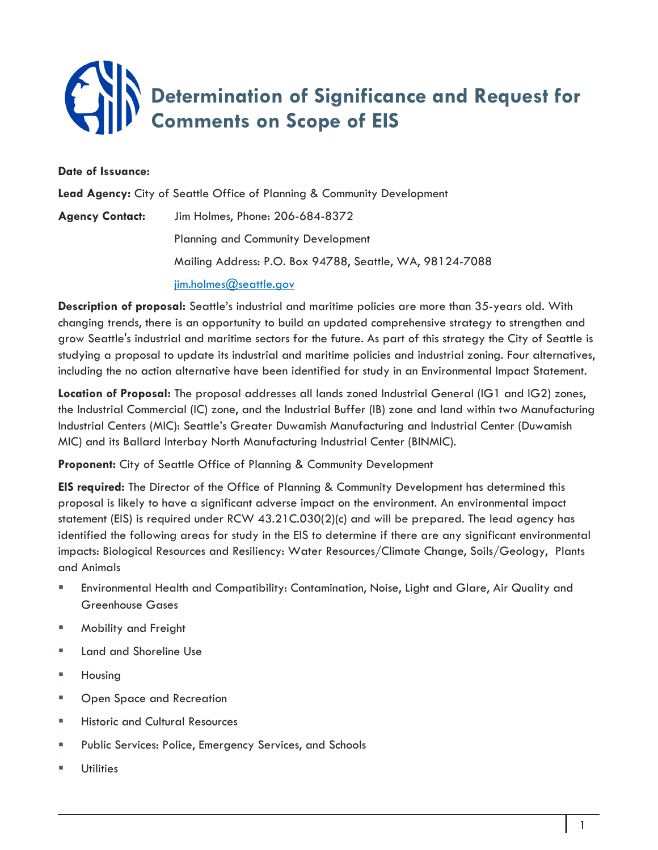## **Determination of Significance and Request for Comments on Scope of EIS**

## **Date of Issuance:**

**Lead Agency:** City of Seattle Office of Planning & Community Development **Agency Contact:** Jim Holmes, Phone: 206-684-8372 Planning and Community Development Mailing Address: P.O. Box 94788, Seattle, WA, 98124-7088 [jim.holmes@seattle.gov](mailto:jim.holmes@seattle.gov)

**Description of proposal:** Seattle's industrial and maritime policies are more than 35-years old. With changing trends, there is an opportunity to build an updated comprehensive strategy to strengthen and grow Seattle's industrial and maritime sectors for the future. As part of this strategy the City of Seattle is studying a proposal to update its industrial and maritime policies and industrial zoning. Four alternatives, including the no action alternative have been identified for study in an Environmental Impact Statement.

**Location of Proposal:** The proposal addresses all lands zoned Industrial General (IG1 and IG2) zones, the Industrial Commercial (IC) zone, and the Industrial Buffer (IB) zone and land within two Manufacturing Industrial Centers (MIC): Seattle's Greater Duwamish Manufacturing and Industrial Center (Duwamish MIC) and its Ballard Interbay North Manufacturing Industrial Center (BINMIC).

**Proponent:** City of Seattle Office of Planning & Community Development

**EIS required:** The Director of the Office of Planning & Community Development has determined this proposal is likely to have a significant adverse impact on the environment. An environmental impact statement (EIS) is required under RCW 43.21C.030(2)(c) and will be prepared. The lead agency has identified the following areas for study in the EIS to determine if there are any significant environmental impacts: Biological Resources and Resiliency: Water Resources/Climate Change, Soils/Geology, Plants and Animals

- Environmental Health and Compatibility: Contamination, Noise, Light and Glare, Air Quality and Greenhouse Gases
- **Mobility and Freight**
- **Land and Shoreline Use**
- Housing
- **Den Space and Recreation**
- **Historic and Cultural Resources**
- **Public Services: Police, Emergency Services, and Schools**
- **Utilities**